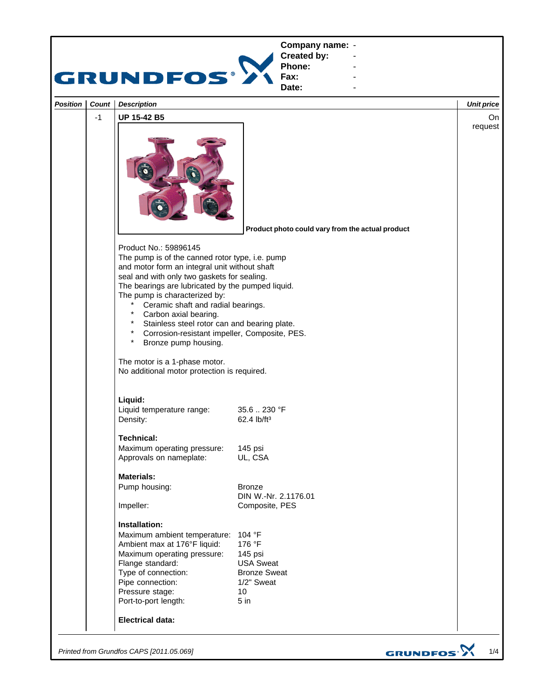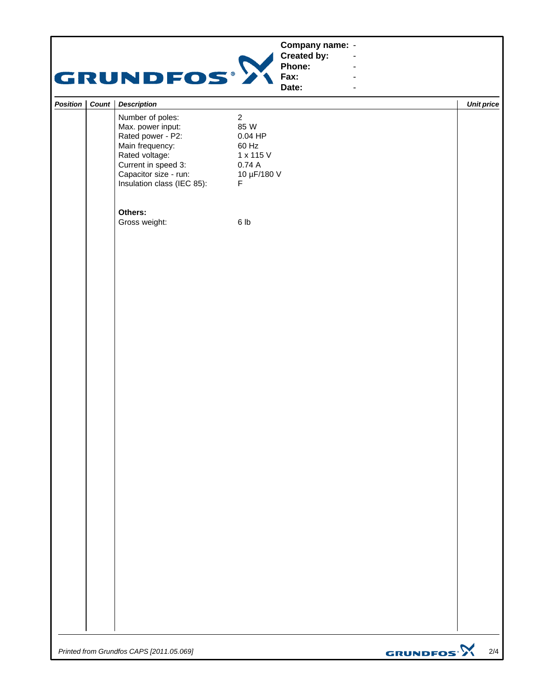|                       | GRUNDFOS®                                                                                                                                                                     | Company name: -<br>Created by:<br>$\blacksquare$<br>Phone:<br>$\blacksquare$<br>Fax:<br>Date:<br>$\blacksquare$ |                   |
|-----------------------|-------------------------------------------------------------------------------------------------------------------------------------------------------------------------------|-----------------------------------------------------------------------------------------------------------------|-------------------|
| Position<br>Count $ $ | <b>Description</b>                                                                                                                                                            |                                                                                                                 | <b>Unit price</b> |
|                       | Number of poles:<br>Max. power input:<br>Rated power - P2:<br>Main frequency:<br>Rated voltage:<br>Current in speed 3:<br>Capacitor size - run:<br>Insulation class (IEC 85): | $\overline{2}$<br>85 W<br>$0.04$ HP<br>60 Hz<br>1 x 115 V<br>0.74A<br>10 µF/180 V<br>$\mathsf F$                |                   |
|                       | Others:<br>Gross weight:                                                                                                                                                      | 6 lb                                                                                                            |                   |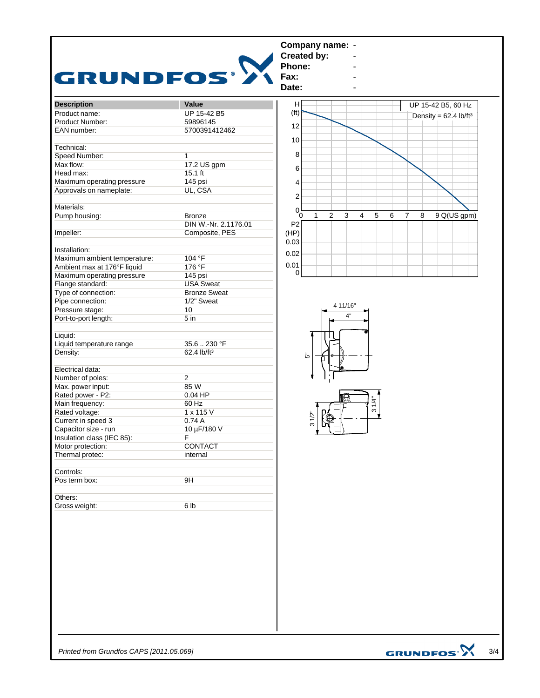| <b>Description</b><br>Value<br>н<br>UP 15-42 B5, 60 Hz<br>(f <sup>t</sup> )<br>Product name:<br>UP 15-42 B5<br>Density = $62.4$ lb/ft <sup>3</sup><br>Product Number:<br>59896145<br>12<br>EAN number:<br>5700391412462<br>10<br>Technical:<br>8<br>Speed Number:<br>$\mathbf{1}$<br>Max flow:<br>17.2 US gpm<br>6<br>Head max:<br>$15.1$ ft<br>Maximum operating pressure<br>145 psi<br>4<br>Approvals on nameplate:<br>UL, CSA<br>$\boldsymbol{2}$<br>Materials:<br>0 <sup>1</sup><br>$\overline{c}$<br>3<br>$\overline{\mathbf{4}}$<br>5<br>9 Q(US gpm)<br>Pump housing:<br>$\mathbf{1}$<br>6<br>$\overline{7}$<br>8<br><b>Bronze</b><br>Ō<br>DIN W.-Nr. 2.1176.01<br>P <sub>2</sub><br>Impeller:<br>Composite, PES<br>(HP)<br>0.03<br>Installation:<br>0.02<br>Maximum ambient temperature:<br>104 °F<br>0.01<br>176 °F<br>Ambient max at 176°F liquid<br>$\Omega$<br>Maximum operating pressure<br>145 psi |  |
|-----------------------------------------------------------------------------------------------------------------------------------------------------------------------------------------------------------------------------------------------------------------------------------------------------------------------------------------------------------------------------------------------------------------------------------------------------------------------------------------------------------------------------------------------------------------------------------------------------------------------------------------------------------------------------------------------------------------------------------------------------------------------------------------------------------------------------------------------------------------------------------------------------------------|--|
|                                                                                                                                                                                                                                                                                                                                                                                                                                                                                                                                                                                                                                                                                                                                                                                                                                                                                                                 |  |
|                                                                                                                                                                                                                                                                                                                                                                                                                                                                                                                                                                                                                                                                                                                                                                                                                                                                                                                 |  |
|                                                                                                                                                                                                                                                                                                                                                                                                                                                                                                                                                                                                                                                                                                                                                                                                                                                                                                                 |  |
|                                                                                                                                                                                                                                                                                                                                                                                                                                                                                                                                                                                                                                                                                                                                                                                                                                                                                                                 |  |
|                                                                                                                                                                                                                                                                                                                                                                                                                                                                                                                                                                                                                                                                                                                                                                                                                                                                                                                 |  |
|                                                                                                                                                                                                                                                                                                                                                                                                                                                                                                                                                                                                                                                                                                                                                                                                                                                                                                                 |  |
|                                                                                                                                                                                                                                                                                                                                                                                                                                                                                                                                                                                                                                                                                                                                                                                                                                                                                                                 |  |
|                                                                                                                                                                                                                                                                                                                                                                                                                                                                                                                                                                                                                                                                                                                                                                                                                                                                                                                 |  |
|                                                                                                                                                                                                                                                                                                                                                                                                                                                                                                                                                                                                                                                                                                                                                                                                                                                                                                                 |  |
|                                                                                                                                                                                                                                                                                                                                                                                                                                                                                                                                                                                                                                                                                                                                                                                                                                                                                                                 |  |
|                                                                                                                                                                                                                                                                                                                                                                                                                                                                                                                                                                                                                                                                                                                                                                                                                                                                                                                 |  |
|                                                                                                                                                                                                                                                                                                                                                                                                                                                                                                                                                                                                                                                                                                                                                                                                                                                                                                                 |  |
|                                                                                                                                                                                                                                                                                                                                                                                                                                                                                                                                                                                                                                                                                                                                                                                                                                                                                                                 |  |
|                                                                                                                                                                                                                                                                                                                                                                                                                                                                                                                                                                                                                                                                                                                                                                                                                                                                                                                 |  |
|                                                                                                                                                                                                                                                                                                                                                                                                                                                                                                                                                                                                                                                                                                                                                                                                                                                                                                                 |  |
|                                                                                                                                                                                                                                                                                                                                                                                                                                                                                                                                                                                                                                                                                                                                                                                                                                                                                                                 |  |
|                                                                                                                                                                                                                                                                                                                                                                                                                                                                                                                                                                                                                                                                                                                                                                                                                                                                                                                 |  |
|                                                                                                                                                                                                                                                                                                                                                                                                                                                                                                                                                                                                                                                                                                                                                                                                                                                                                                                 |  |
|                                                                                                                                                                                                                                                                                                                                                                                                                                                                                                                                                                                                                                                                                                                                                                                                                                                                                                                 |  |
| Flange standard:<br><b>USA Sweat</b>                                                                                                                                                                                                                                                                                                                                                                                                                                                                                                                                                                                                                                                                                                                                                                                                                                                                            |  |
| Type of connection:<br><b>Bronze Sweat</b>                                                                                                                                                                                                                                                                                                                                                                                                                                                                                                                                                                                                                                                                                                                                                                                                                                                                      |  |
| Pipe connection:<br>1/2" Sweat                                                                                                                                                                                                                                                                                                                                                                                                                                                                                                                                                                                                                                                                                                                                                                                                                                                                                  |  |
| 4 11/16"<br>Pressure stage:<br>10                                                                                                                                                                                                                                                                                                                                                                                                                                                                                                                                                                                                                                                                                                                                                                                                                                                                               |  |
| 4"<br>Port-to-port length:<br>5 <sub>in</sub>                                                                                                                                                                                                                                                                                                                                                                                                                                                                                                                                                                                                                                                                                                                                                                                                                                                                   |  |
|                                                                                                                                                                                                                                                                                                                                                                                                                                                                                                                                                                                                                                                                                                                                                                                                                                                                                                                 |  |
| Liquid:                                                                                                                                                                                                                                                                                                                                                                                                                                                                                                                                                                                                                                                                                                                                                                                                                                                                                                         |  |
| Liquid temperature range<br>35.6  230 °F                                                                                                                                                                                                                                                                                                                                                                                                                                                                                                                                                                                                                                                                                                                                                                                                                                                                        |  |
| Density:<br>62.4 lb/ft <sup>3</sup><br>້ທ                                                                                                                                                                                                                                                                                                                                                                                                                                                                                                                                                                                                                                                                                                                                                                                                                                                                       |  |
| Electrical data:                                                                                                                                                                                                                                                                                                                                                                                                                                                                                                                                                                                                                                                                                                                                                                                                                                                                                                |  |
| $\overline{2}$<br>Number of poles:                                                                                                                                                                                                                                                                                                                                                                                                                                                                                                                                                                                                                                                                                                                                                                                                                                                                              |  |
| 85 W<br>Max. power input:                                                                                                                                                                                                                                                                                                                                                                                                                                                                                                                                                                                                                                                                                                                                                                                                                                                                                       |  |
| Rated power - P2:<br>$0.04$ HP                                                                                                                                                                                                                                                                                                                                                                                                                                                                                                                                                                                                                                                                                                                                                                                                                                                                                  |  |
| 31/4"<br>Main frequency:<br>60 Hz                                                                                                                                                                                                                                                                                                                                                                                                                                                                                                                                                                                                                                                                                                                                                                                                                                                                               |  |
| Rated voltage:<br>1 x 115 V                                                                                                                                                                                                                                                                                                                                                                                                                                                                                                                                                                                                                                                                                                                                                                                                                                                                                     |  |
| $31/2$ "<br>Current in speed 3<br>0.74A                                                                                                                                                                                                                                                                                                                                                                                                                                                                                                                                                                                                                                                                                                                                                                                                                                                                         |  |
| m<br>Capacitor size - run<br>10 µF/180 V                                                                                                                                                                                                                                                                                                                                                                                                                                                                                                                                                                                                                                                                                                                                                                                                                                                                        |  |
| <u>, y y</u><br>Insulation class (IEC 85):<br>F                                                                                                                                                                                                                                                                                                                                                                                                                                                                                                                                                                                                                                                                                                                                                                                                                                                                 |  |
| CONTACT<br>Motor protection:                                                                                                                                                                                                                                                                                                                                                                                                                                                                                                                                                                                                                                                                                                                                                                                                                                                                                    |  |
| Thermal protec:<br>internal                                                                                                                                                                                                                                                                                                                                                                                                                                                                                                                                                                                                                                                                                                                                                                                                                                                                                     |  |
|                                                                                                                                                                                                                                                                                                                                                                                                                                                                                                                                                                                                                                                                                                                                                                                                                                                                                                                 |  |
| Controls:                                                                                                                                                                                                                                                                                                                                                                                                                                                                                                                                                                                                                                                                                                                                                                                                                                                                                                       |  |
| Pos term box:<br>9H                                                                                                                                                                                                                                                                                                                                                                                                                                                                                                                                                                                                                                                                                                                                                                                                                                                                                             |  |
|                                                                                                                                                                                                                                                                                                                                                                                                                                                                                                                                                                                                                                                                                                                                                                                                                                                                                                                 |  |
| Others:                                                                                                                                                                                                                                                                                                                                                                                                                                                                                                                                                                                                                                                                                                                                                                                                                                                                                                         |  |
| Gross weight:<br>6 lb                                                                                                                                                                                                                                                                                                                                                                                                                                                                                                                                                                                                                                                                                                                                                                                                                                                                                           |  |